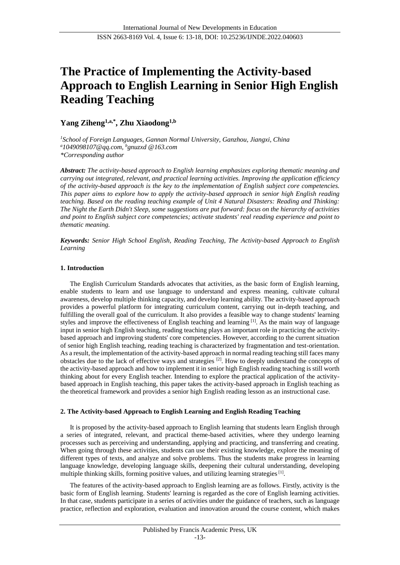# **The Practice of Implementing the Activity-based Approach to English Learning in Senior High English Reading Teaching**

## **Yang Ziheng1,a,\* , Zhu Xiaodong1,b**

*<sup>1</sup>School of Foreign Languages, Gannan Normal University, Ganzhou, Jiangxi, China <sup>a</sup>1049098107@qq.com, <sup>b</sup>gnuzxd @163.com \*Corresponding author*

*Abstract: The activity-based approach to English learning emphasizes exploring thematic meaning and carrying out integrated, relevant, and practical learning activities. Improving the application efficiency of the activity-based approach is the key to the implementation of English subject core competencies. This paper aims to explore how to apply the activity-based approach in senior high English reading teaching. Based on the reading teaching example of Unit 4 Natural Disasters: Reading and Thinking: The Night the Earth Didn't Sleep, some suggestions are put forward: focus on the hierarchy of activities and point to English subject core competencies; activate students' real reading experience and point to thematic meaning.* 

*Keywords: Senior High School English, Reading Teaching, The Activity-based Approach to English Learning*

## **1. Introduction**

The English Curriculum Standards advocates that activities, as the basic form of English learning, enable students to learn and use language to understand and express meaning, cultivate cultural awareness, develop multiple thinking capacity, and develop learning ability. The activity-based approach provides a powerful platform for integrating curriculum content, carrying out in-depth teaching, and fulfilling the overall goal of the curriculum. It also provides a feasible way to change students' learning styles and improve the effectiveness of English teaching and learning [1]. As the main way of language input in senior high English teaching, reading teaching plays an important role in practicing the activitybased approach and improving students' core competencies. However, according to the current situation of senior high English teaching, reading teaching is characterized by fragmentation and test-orientation. As a result, the implementation of the activity-based approach in normal reading teaching still faces many obstacles due to the lack of effective ways and strategies [2]. How to deeply understand the concepts of the activity-based approach and how to implement it in senior high English reading teaching is still worth thinking about for every English teacher. Intending to explore the practical application of the activitybased approach in English teaching, this paper takes the activity-based approach in English teaching as the theoretical framework and provides a senior high English reading lesson as an instructional case.

## **2. The Activity-based Approach to English Learning and English Reading Teaching**

It is proposed by the activity-based approach to English learning that students learn English through a series of integrated, relevant, and practical theme-based activities, where they undergo learning processes such as perceiving and understanding, applying and practicing, and transferring and creating. When going through these activities, students can use their existing knowledge, explore the meaning of different types of texts, and analyze and solve problems. Thus the students make progress in learning language knowledge, developing language skills, deepening their cultural understanding, developing multiple thinking skills, forming positive values, and utilizing learning strategies  $[1]$ .

The features of the activity-based approach to English learning are as follows. Firstly, activity is the basic form of English learning. Students' learning is regarded as the core of English learning activities. In that case, students participate in a series of activities under the guidance of teachers, such as language practice, reflection and exploration, evaluation and innovation around the course content, which makes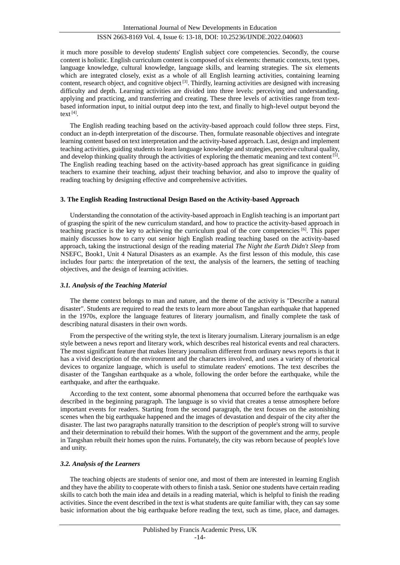it much more possible to develop students' English subject core competencies. Secondly, the course content is holistic. English curriculum content is composed of six elements: thematic contexts, text types, language knowledge, cultural knowledge, language skills, and learning strategies. The six elements which are integrated closely, exist as a whole of all English learning activities, containing learning content, research object, and cognitive object [3]. Thirdly, learning activities are designed with increasing difficulty and depth. Learning activities are divided into three levels: perceiving and understanding, applying and practicing, and transferring and creating. These three levels of activities range from textbased information input, to initial output deep into the text, and finally to high-level output beyond the text [4] .

The English reading teaching based on the activity-based approach could follow three steps. First, conduct an in-depth interpretation of the discourse. Then, formulate reasonable objectives and integrate learning content based on text interpretation and the activity-based approach. Last, design and implement teaching activities, guiding students to learn language knowledge and strategies, perceive cultural quality, and develop thinking quality through the activities of exploring the thematic meaning and text content  $[5]$ . The English reading teaching based on the activity-based approach has great significance in guiding teachers to examine their teaching, adjust their teaching behavior, and also to improve the quality of reading teaching by designing effective and comprehensive activities.

#### **3. The English Reading Instructional Design Based on the Activity-based Approach**

Understanding the connotation of the activity-based approach in English teaching is an important part of grasping the spirit of the new curriculum standard, and how to practice the activity-based approach in teaching practice is the key to achieving the curriculum goal of the core competencies [6]. This paper mainly discusses how to carry out senior high English reading teaching based on the activity-based approach, taking the instructional design of the reading material *The Night the Earth Didn't Sleep* from NSEFC, Book1, Unit 4 Natural Disasters as an example. As the first lesson of this module, this case includes four parts: the interpretation of the text, the analysis of the learners, the setting of teaching objectives, and the design of learning activities.

#### *3.1. Analysis of the Teaching Material*

The theme context belongs to man and nature, and the theme of the activity is "Describe a natural disaster". Students are required to read the texts to learn more about Tangshan earthquake that happened in the 1970s, explore the language features of literary journalism, and finally complete the task of describing natural disasters in their own words.

From the perspective of the writing style, the text is literary journalism. Literary journalism is an edge style between a news report and literary work, which describes real historical events and real characters. The most significant feature that makes literary journalism different from ordinary news reports is that it has a vivid description of the environment and the characters involved, and uses a variety of rhetorical devices to organize language, which is useful to stimulate readers' emotions. The text describes the disaster of the Tangshan earthquake as a whole, following the order before the earthquake, while the earthquake, and after the earthquake.

According to the text content, some abnormal phenomena that occurred before the earthquake was described in the beginning paragraph. The language is so vivid that creates a tense atmosphere before important events for readers. Starting from the second paragraph, the text focuses on the astonishing scenes when the big earthquake happened and the images of devastation and despair of the city after the disaster. The last two paragraphs naturally transition to the description of people's strong will to survive and their determination to rebuild their homes. With the support of the government and the army, people in Tangshan rebuilt their homes upon the ruins. Fortunately, the city was reborn because of people's love and unity.

#### *3.2. Analysis of the Learners*

The teaching objects are students of senior one, and most of them are interested in learning English and they have the ability to cooperate with others to finish a task. Senior one students have certain reading skills to catch both the main idea and details in a reading material, which is helpful to finish the reading activities. Since the event described in the text is what students are quite familiar with, they can say some basic information about the big earthquake before reading the text, such as time, place, and damages.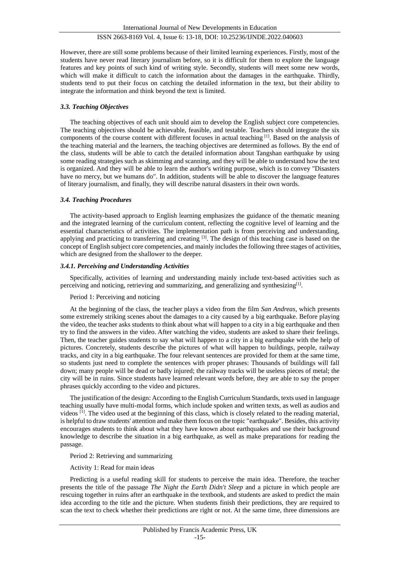However, there are still some problems because of their limited learning experiences. Firstly, most of the students have never read literary journalism before, so it is difficult for them to explore the language features and key points of such kind of writing style. Secondly, students will meet some new words, which will make it difficult to catch the information about the damages in the earthquake. Thirdly, students tend to put their focus on catching the detailed information in the text, but their ability to integrate the information and think beyond the text is limited.

## *3.3. Teaching Objectives*

The teaching objectives of each unit should aim to develop the English subject core competencies. The teaching objectives should be achievable, feasible, and testable. Teachers should integrate the six components of the course content with different focuses in actual teaching [1]. Based on the analysis of the teaching material and the learners, the teaching objectives are determined as follows. By the end of the class, students will be able to catch the detailed information about Tangshan earthquake by using some reading strategies such as skimming and scanning, and they will be able to understand how the text is organized. And they will be able to learn the author's writing purpose, which is to convey "Disasters have no mercy, but we humans do". In addition, students will be able to discover the language features of literary journalism, and finally, they will describe natural disasters in their own words.

## *3.4. Teaching Procedures*

The activity-based approach to English learning emphasizes the guidance of the thematic meaning and the integrated learning of the curriculum content, reflecting the cognitive level of learning and the essential characteristics of activities. The implementation path is from perceiving and understanding, applying and practicing to transferring and creating [3]. The design of this teaching case is based on the concept of English subject core competencies, and mainly includes the following three stages of activities, which are designed from the shallower to the deeper.

## *3.4.1. Perceiving and Understanding Activities*

Specifically, activities of learning and understanding mainly include text-based activities such as perceiving and noticing, retrieving and summarizing, and generalizing and synthesizing<sup>[1]</sup>.

## Period 1: Perceiving and noticing

At the beginning of the class, the teacher plays a video from the film *San Andreas*, which presents some extremely striking scenes about the damages to a city caused by a big earthquake. Before playing the video, the teacher asks students to think about what will happen to a city in a big earthquake and then try to find the answers in the video. After watching the video, students are asked to share their feelings. Then, the teacher guides students to say what will happen to a city in a big earthquake with the help of pictures. Concretely, students describe the pictures of what will happen to buildings, people, railway tracks, and city in a big earthquake. The four relevant sentences are provided for them at the same time, so students just need to complete the sentences with proper phrases: Thousands of buildings will fall down; many people will be dead or badly injured; the railway tracks will be useless pieces of metal; the city will be in ruins. Since students have learned relevant words before, they are able to say the proper phrases quickly according to the video and pictures.

The justification of the design: According to the English Curriculum Standards, texts used in language teaching usually have multi-modal forms, which include spoken and written texts, as well as audios and videos [1]. The video used at the beginning of this class, which is closely related to the reading material, is helpful to draw students' attention and make them focus on the topic "earthquake". Besides, this activity encourages students to think about what they have known about earthquakes and use their background knowledge to describe the situation in a big earthquake, as well as make preparations for reading the passage.

## Period 2: Retrieving and summarizing

Activity 1: Read for main ideas

Predicting is a useful reading skill for students to perceive the main idea. Therefore, the teacher presents the title of the passage *The Night the Earth Didn't Sleep* and a picture in which people are rescuing together in ruins after an earthquake in the textbook, and students are asked to predict the main idea according to the title and the picture. When students finish their predictions, they are required to scan the text to check whether their predictions are right or not. At the same time, three dimensions are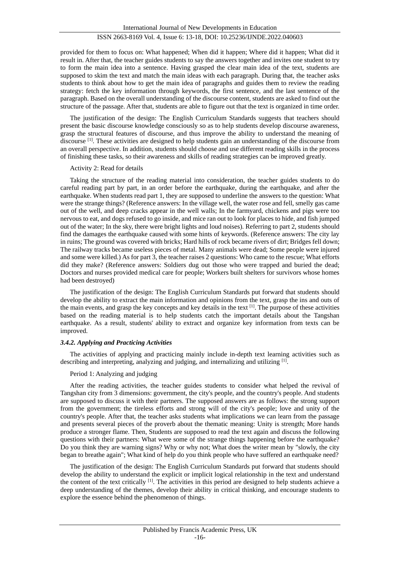provided for them to focus on: What happened; When did it happen; Where did it happen; What did it result in. After that, the teacher guides students to say the answers together and invites one student to try to form the main idea into a sentence. Having grasped the clear main idea of the text, students are supposed to skim the text and match the main ideas with each paragraph. During that, the teacher asks students to think about how to get the main idea of paragraphs and guides them to review the reading strategy: fetch the key information through keywords, the first sentence, and the last sentence of the paragraph. Based on the overall understanding of the discourse content, students are asked to find out the structure of the passage. After that, students are able to figure out that the text is organized in time order.

The justification of the design: The English Curriculum Standards suggests that teachers should present the basic discourse knowledge consciously so as to help students develop discourse awareness, grasp the structural features of discourse, and thus improve the ability to understand the meaning of discourse <sup>[1]</sup>. These activities are designed to help students gain an understanding of the discourse from an overall perspective. In addition, students should choose and use different reading skills in the process of finishing these tasks, so their awareness and skills of reading strategies can be improved greatly.

#### Activity 2: Read for details

Taking the structure of the reading material into consideration, the teacher guides students to do careful reading part by part, in an order before the earthquake, during the earthquake, and after the earthquake. When students read part 1, they are supposed to underline the answers to the question: What were the strange things? (Reference answers: In the village well, the water rose and fell, smelly gas came out of the well, and deep cracks appear in the well walls; In the farmyard, chickens and pigs were too nervous to eat, and dogs refused to go inside, and mice ran out to look for places to hide, and fish jumped out of the water; In the sky, there were bright lights and loud noises). Referring to part 2, students should find the damages the earthquake caused with some hints of keywords. (Reference answers: The city lay in ruins; The ground was covered with bricks; Hard hills of rock became rivers of dirt; Bridges fell down; The railway tracks became useless pieces of metal. Many animals were dead; Some people were injured and some were killed.) As for part 3, the teacher raises 2 questions: Who came to the rescue; What efforts did they make? (Reference answers: Soldiers dug out those who were trapped and buried the dead; Doctors and nurses provided medical care for people; Workers built shelters for survivors whose homes had been destroyed)

The justification of the design: The English Curriculum Standards put forward that students should develop the ability to extract the main information and opinions from the text, grasp the ins and outs of the main events, and grasp the key concepts and key details in the text [1]. The purpose of these activities based on the reading material is to help students catch the important details about the Tangshan earthquake. As a result, students' ability to extract and organize key information from texts can be improved.

#### *3.4.2. Applying and Practicing Activities*

The activities of applying and practicing mainly include in-depth text learning activities such as describing and interpreting, analyzing and judging, and internalizing and utilizing <sup>[1]</sup>.

#### Period 1: Analyzing and judging

After the reading activities, the teacher guides students to consider what helped the revival of Tangshan city from 3 dimensions: government, the city's people, and the country's people. And students are supposed to discuss it with their partners. The supposed answers are as follows: the strong support from the government; the tireless efforts and strong will of the city's people; love and unity of the country's people. After that, the teacher asks students what implications we can learn from the passage and presents several pieces of the proverb about the thematic meaning: Unity is strength; More hands produce a stronger flame. Then, Students are supposed to read the text again and discuss the following questions with their partners: What were some of the strange things happening before the earthquake? Do you think they are warning signs? Why or why not; What does the writer mean by "slowly, the city began to breathe again"; What kind of help do you think people who have suffered an earthquake need?

The justification of the design: The English Curriculum Standards put forward that students should develop the ability to understand the explicit or implicit logical relationship in the text and understand the content of the text critically  $^{[1]}$ . The activities in this period are designed to help students achieve a deep understanding of the themes, develop their ability in critical thinking, and encourage students to explore the essence behind the phenomenon of things.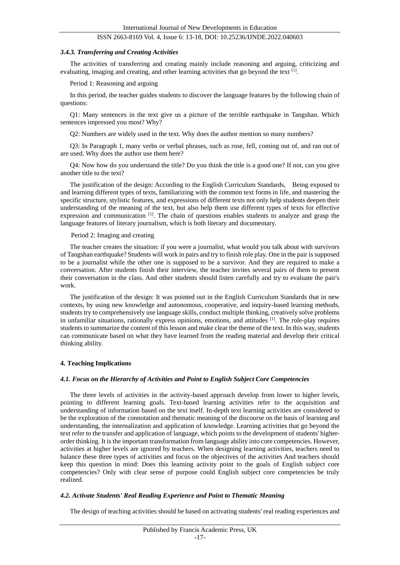#### *3.4.3. Transferring and Creating Activities*

The activities of transferring and creating mainly include reasoning and arguing, criticizing and evaluating, imaging and creating, and other learning activities that go beyond the text [1].

Period 1: Reasoning and arguing

In this period, the teacher guides students to discover the language features by the following chain of questions:

Q1: Many sentences in the text give us a picture of the terrible earthquake in Tangshan. Which sentences impressed you most? Why?

Q2: Numbers are widely used in the text. Why does the author mention so many numbers?

Q3: In Paragraph 1, many verbs or verbal phrases, such as rose, fell, coming out of, and ran out of are used. Why does the author use them here?

Q4: Now how do you understand the title? Do you think the title is a good one? If not, can you give another title to the text?

The justification of the design: According to the English Curriculum Standards, Being exposed to and learning different types of texts, familiarizing with the common text forms in life, and mastering the specific structure, stylistic features, and expressions of different texts not only help students deepen their understanding of the meaning of the text, but also help them use different types of texts for effective expression and communication <sup>[1]</sup>. The chain of questions enables students to analyze and grasp the language features of literary journalism, which is both literary and documentary.

#### Period 2: Imaging and creating

The teacher creates the situation: if you were a journalist, what would you talk about with survivors of Tangshan earthquake? Students will work in pairs and try to finish role play. One in the pair is supposed to be a journalist while the other one is supposed to be a survivor. And they are required to make a conversation. After students finish their interview, the teacher invites several pairs of them to present their conversation in the class. And other students should listen carefully and try to evaluate the pair's work.

The justification of the design: It was pointed out in the English Curriculum Standards that in new contexts, by using new knowledge and autonomous, cooperative, and inquiry-based learning methods, students try to comprehensively use language skills, conduct multiple thinking, creatively solve problems in unfamiliar situations, rationally express opinions, emotions, and attitudes [1]. The role-play requires students to summarize the content of this lesson and make clear the theme of the text. In this way, students can communicate based on what they have learned from the reading material and develop their critical thinking ability.

#### **4. Teaching Implications**

### *4.1. Focus on the Hierarchy of Activities and Point to English Subject Core Competencies*

The three levels of activities in the activity-based approach develop from lower to higher levels, pointing to different learning goals. Text-based learning activities refer to the acquisition and understanding of information based on the text itself. In-depth text learning activities are considered to be the exploration of the connotation and thematic meaning of the discourse on the basis of learning and understanding, the internalization and application of knowledge. Learning activities that go beyond the text refer to the transfer and application of language, which points to the development of students' higherorder thinking. It is the important transformation from language ability into core competencies. However, activities at higher levels are ignored by teachers. When designing learning activities, teachers need to balance these three types of activities and focus on the objectives of the activities And teachers should keep this question in mind: Does this learning activity point to the goals of English subject core competencies? Only with clear sense of purpose could English subject core competencies be truly realized.

#### *4.2. Activate Students' Real Reading Experience and Point to Thematic Meaning*

The design of teaching activities should be based on activating students' real reading experiences and